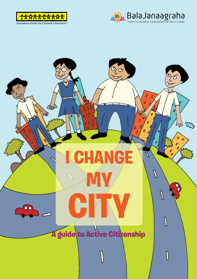



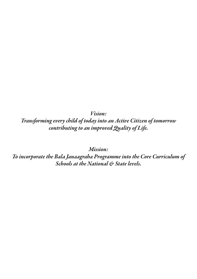*Vision:* 

*Transforming every child of today into an Active Citizen of tomorrow contributing to an improved Quality of Life.*

*Mission:* 

*To incorporate the Bala Janaagraha Programme into the Core Curriculum of Schools at the National & State levels.*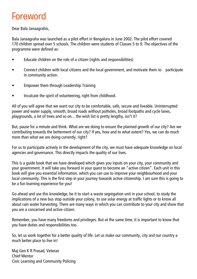## Foreword

Dear Bala Janaagrahis,

Bala Janaagraha was launched as a pilot effort in Bengaluru in June 2002. The pilot effort covered 170 children spread over 5 schools. The children were students of Classes 5 to 9. The objectives of the programme were defined as:

- Educate children on the role of a citizen (rights and responsibilities)
- Connect children with local citizens and the local government, and motivate them to participate in community action.
- Empower them through Leadership Training
- Inculcate the spirit of volunteering, right from childhood.

All of you will agree that we want our city to be comfortable, safe, secure and liveable. Uninterrupted power and water supply, smooth, broad roads without potholes, broad footpaths and cycle lanes, playgrounds, a lot of trees and so on…the wish list is pretty lengthy, isn't it?

But, pause for a minute and think. What are we doing to ensure the planned growth of our city? Are we contributing towards the betterment of our city? If yes, how and to what extent? Yes, we can do much more than what we are doing currently, right?

For us to participate actively in the development of the city, we must have adequate knowledge on local agencies and governance. This directly impacts the quality of our lives.

This is a guide book that we have developed which gives you inputs on your city, your community and your government. It will take you forward in your quest to become an "active citizen". Each unit in this book will give you essential information, which you can use to improve your neighbourhood and your local community. This is the first step in your journey towards active citizenship. I am sure this is going to be a fun learning experience for you!

Go ahead and use this knowledge, be it to start a waste segregation unit in your school, to study the implications of a new bus stop outside your colony, to use solar energy at traffic lights or to know all about rain water harvesting. There are many ways in which you can contribute to your city and show that you are a concerned and active citizen.

Remember, you have many freedoms and privileges. But at the same time, it is important to know that you have duties and responsibilities too.

So, let us work together for a better quality of life. Let us make our community, city and our country a much better place to live in!

Maj Gen K R Prasad, Veteran Chief Mentor Civic Learning and Community Policing